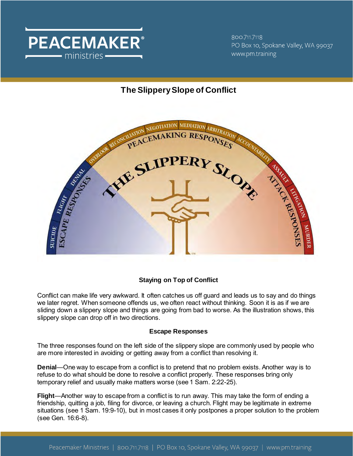

800.711.7118 PO Box 10, Spokane Valley, WA 99037 www.pm.training

# **The Slippery Slope of Conflict**



## **Staying on Top of Conflict**

Conflict can make life very awkward. It often catches us off guard and leads us to say and do things we later regret. When someone offends us, we often react without thinking. Soon it is as if we are sliding down a slippery slope and things are going from bad to worse. As the illustration shows, this slippery slope can drop off in two directions.

## **Escape Responses**

The three responses found on the left side of the slippery slope are commonly used by people who are more interested in avoiding or getting away from a conflict than resolving it.

**Denial**—One way to escape from a conflict is to pretend that no problem exists. Another way is to refuse to do what should be done to resolve a conflict properly. These responses bring only temporary relief and usually make matters worse (see 1 Sam. 2:22-25).

**Flight**—Another way to escape from a conflict is to run away. This may take the form of ending a friendship, quitting a job, filing for divorce, or leaving a church. Flight may be legitimate in extreme situations (see 1 Sam. 19:9-10), but in most cases it only postpones a proper solution to the problem (see Gen. 16:6-8).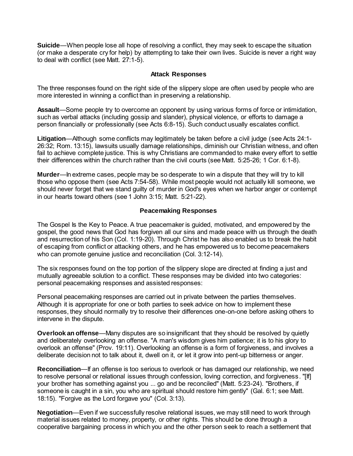**Suicide**—When people lose all hope of resolving a conflict, they may seek to escape the situation (or make a desperate cry for help) by attempting to take their own lives. Suicide is never a right way to deal with conflict (see Matt. 27:1-5).

### **Attack Responses**

The three responses found on the right side of the slippery slope are often used by people who are more interested in winning a conflict than in preserving a relationship.

**Assault**—Some people try to overcome an opponent by using various forms of force or intimidation, such as verbal attacks (including gossip and slander), physical violence, or efforts to damage a person financially or professionally (see Acts 6:8-15). Such conduct usually escalates conflict.

**Litigation**—Although some conflicts may legitimately be taken before a civil judge (see Acts 24:1- 26:32; Rom. 13:15), lawsuits usually damage relationships, diminish our Christian witness, and often fail to achieve complete justice. This is why Christians are commanded to make every effort to settle their differences within the church rather than the civil courts (see Matt. 5:25-26; 1 Cor. 6:1-8).

**Murder**—In extreme cases, people may be so desperate to win a dispute that they will try to kill those who oppose them (see Acts 7:54-58). While most people would not actually kill someone, we should never forget that we stand guilty of murder in God's eyes when we harbor anger or contempt in our hearts toward others (see 1 John 3:15; Matt. 5:21-22).

### **Peacemaking Responses**

The Gospel Is the Key to Peace. A true peacemaker is guided, motivated, and empowered by the gospel, the good news that God has forgiven all our sins and made peace with us through the death and resurrection of his Son (Col. 1:19-20). Through Christ he has also enabled us to break the habit of escaping from conflict or attacking others, and he has empowered us to become peacemakers who can promote genuine justice and reconciliation (Col. 3:12-14).

The six responses found on the top portion of the slippery slope are directed at finding a just and mutually agreeable solution to a conflict. These responses may be divided into two categories: personal peacemaking responses and assisted responses:

Personal peacemaking responses are carried out in private between the parties themselves. Although it is appropriate for one or both parties to seek advice on how to implement these responses, they should normally try to resolve their differences one-on-one before asking others to intervene in the dispute.

**Overlook an offense**—Many disputes are so insignificant that they should be resolved by quietly and deliberately overlooking an offense. "A man's wisdom gives him patience; it is to his glory to overlook an offense" (Prov. 19:11). Overlooking an offense is a form of forgiveness, and involves a deliberate decision not to talk about it, dwell on it, or let it grow into pent-up bitterness or anger.

**Reconciliation—If** an offense is too serious to overlook or has damaged our relationship, we need to resolve personal or relational issues through confession, loving correction, and forgiveness. "[If] your brother has something against you ... go and be reconciled" (Matt. 5:23-24). "Brothers, if someone is caught in a sin, you who are spiritual should restore him gently" (Gal. 6:1; see Matt. 18:15). "Forgive as the Lord forgave you" (Col. 3:13).

**Negotiation**—Even if we successfully resolve relational issues, we may still need to work through material issues related to money, property, or other rights. This should be done through a cooperative bargaining process in which you and the other person seek to reach a settlement that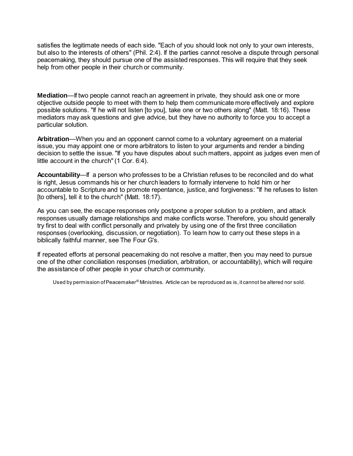satisfies the legitimate needs of each side. "Each of you should look not only to your own interests, but also to the interests of others" (Phil. 2:4). If the parties cannot resolve a dispute through personal peacemaking, they should pursue one of the assisted responses. This will require that they seek help from other people in their church or community.

**Mediation**—If two people cannot reach an agreement in private, they should ask one or more objective outside people to meet with them to help them communicate more effectively and explore possible solutions. "If he will not listen [to you], take one or two others along" (Matt. 18:16). These mediators may ask questions and give advice, but they have no authority to force you to accept a particular solution.

**Arbitration**—When you and an opponent cannot come to a voluntary agreement on a material issue, you may appoint one or more arbitrators to listen to your arguments and render a binding decision to settle the issue. "If you have disputes about such matters, appoint as judges even men of little account in the church" (1 Cor. 6:4).

**Accountability**—If a person who professes to be a Christian refuses to be reconciled and do what is right, Jesus commands his or her church leaders to formally intervene to hold him or her accountable to Scripture and to promote repentance, justice, and forgiveness: "If he refuses to listen [to others], tell it to the church" (Matt. 18:17).

As you can see, the escape responses only postpone a proper solution to a problem, and attack responses usually damage relationships and make conflicts worse. Therefore, you should generally try first to deal with conflict personally and privately by using one of the first three conciliation responses (overlooking, discussion, or negotiation). To learn how to carry out these steps in a biblically faithful manner, see The Four G's.

If repeated efforts at personal peacemaking do not resolve a matter, then you may need to pursue one of the other conciliation responses (mediation, arbitration, or accountability), which will require the assistance of other people in your church or community.

Used by permission of Peacemaker® Ministries. Article can be reproduced as is, it cannot be altered nor sold.